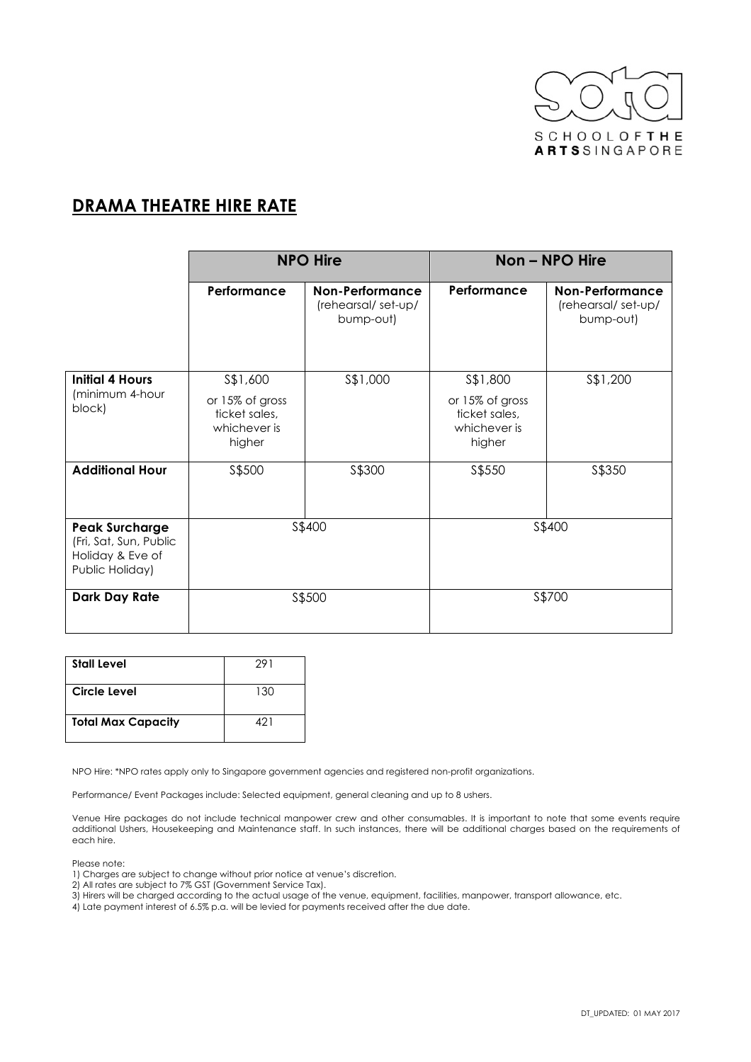

## **DRAMA THEATRE HIRE RATE**

|                                                                                        | <b>NPO Hire</b>                                                         |                                                           | Non - NPO Hire                                                          |                                                           |
|----------------------------------------------------------------------------------------|-------------------------------------------------------------------------|-----------------------------------------------------------|-------------------------------------------------------------------------|-----------------------------------------------------------|
|                                                                                        | Performance                                                             | <b>Non-Performance</b><br>(rehearsal/set-up/<br>bump-out) | Performance                                                             | <b>Non-Performance</b><br>(rehearsal/set-up/<br>bump-out) |
| <b>Initial 4 Hours</b><br>(minimum 4-hour<br>block)                                    | \$\$1,600<br>or 15% of gross<br>ticket sales,<br>whichever is<br>higher | \$\$1,000                                                 | \$\$1,800<br>or 15% of gross<br>ticket sales,<br>whichever is<br>higher | \$\$1,200                                                 |
| <b>Additional Hour</b>                                                                 | \$\$500                                                                 | \$\$300                                                   | \$\$550                                                                 | \$\$350                                                   |
| <b>Peak Surcharge</b><br>(Fri, Sat, Sun, Public<br>Holiday & Eve of<br>Public Holiday) | S\$400                                                                  |                                                           |                                                                         | \$\$400                                                   |
| Dark Day Rate                                                                          | \$\$500                                                                 |                                                           |                                                                         | \$\$700                                                   |

| <b>Stall Level</b>        | 291 |
|---------------------------|-----|
| Circle Level              | 130 |
| <b>Total Max Capacity</b> | 421 |

NPO Hire: \*NPO rates apply only to Singapore government agencies and registered non-profit organizations.

Performance/ Event Packages include: Selected equipment, general cleaning and up to 8 ushers.

Venue Hire packages do not include technical manpower crew and other consumables. It is important to note that some events require additional Ushers, Housekeeping and Maintenance staff. In such instances, there will be additional charges based on the requirements of each hire.

Please note:

1) Charges are subject to change without prior notice at venue's discretion.

2) All rates are subject to 7% GST (Government Service Tax).

3) Hirers will be charged according to the actual usage of the venue, equipment, facilities, manpower, transport allowance, etc.

4) Late payment interest of 6.5% p.a. will be levied for payments received after the due date.